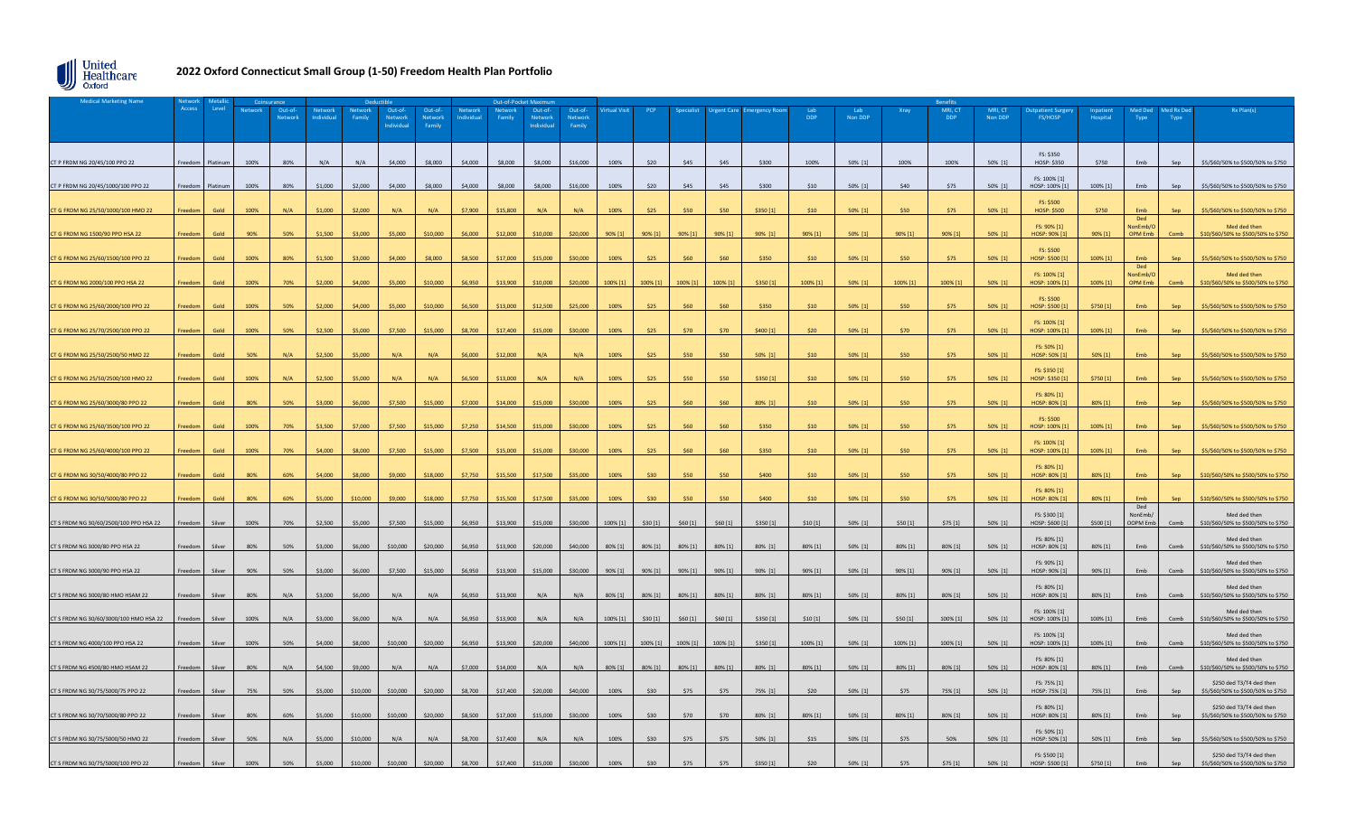

## **2022 Oxford Connecticut Small Group (1-50) Freedom Health Plan Portfolio**

| <b>Medical Marketing Name</b>          |         |          |         | Coinsurance        |                       | Deductib          |                                 |                             |                       | Out-of-Pocket Max |                                |                                    |            |          |          |          |                  |            |                |          |                       |         |                                        |           |                                  |                  |                                                                |
|----------------------------------------|---------|----------|---------|--------------------|-----------------------|-------------------|---------------------------------|-----------------------------|-----------------------|-------------------|--------------------------------|------------------------------------|------------|----------|----------|----------|------------------|------------|----------------|----------|-----------------------|---------|----------------------------------------|-----------|----------------------------------|------------------|----------------------------------------------------------------|
|                                        | Access  | Level    | Network | Out-of-<br>Network | Network<br>Individual | Network<br>Family | Out-of<br>Network<br>Individual | Out-of<br>Network<br>Family | Network<br>Individual | Network<br>Family | Out-of<br>Network<br>Individua | Out-of<br><b>Network</b><br>Family | tual Vis   |          |          |          |                  | <b>DDP</b> | Lab<br>Non DDP | Xray     | MRI, CT<br><b>DDP</b> | Non DDP | atient Surgi<br><b>FS/HOSP</b>         | Hospital  | Type                             | ed Rx Do<br>Type |                                                                |
| CT P FRDM NG 20/45/100 PPO 22          | Freedom | Platinun | 100%    | 80%                | N/A                   | N/A               | \$4,000                         | \$8,000                     | \$4,000               | \$8,000           | \$8,000                        | \$16,000                           | 100%       | \$20     | \$45     | \$45     | \$300            | 100%       | 50% [1]        | 100%     | 100%                  | 50% [1] | FS: \$350<br>HOSP: \$350               | \$750     | Emb                              | Sen              | \$5/\$60/50% to \$500/50% to \$750                             |
| T P FRDM NG 20/45/1000/100 PPO 22      |         |          | 100%    | 80%                | \$1,000               | \$2,000           | \$4,000                         | \$8,000                     | \$4,000               | \$8,000           | \$8,000                        | \$16,000                           | 100%       | \$20     | \$45     | \$45     | \$300            | \$10       | 50% [1]        | \$40     | \$75                  | 50% [1] | FS: 100% [1]<br>HOSP: 100% [1]         | 100% [1]  | Emb                              |                  | \$5/\$60/50% to \$500/50% to \$750                             |
| CT G FRDM NG 25/50/1000/100 HMO 22     | Freedom | Gold     | 100%    | N/A                | \$1,000               | \$2,000           | N/A                             | N/A                         | \$7,900               | \$15,800          | N/A                            | N/A                                | 100%       | \$25     | \$50     | \$50     | \$350 [1]        | \$10       | 50% [1]        | \$50     | \$75                  | 50% [1] | <b>FS: \$500</b><br><b>HOSP: \$500</b> | \$750     |                                  |                  | \$5/\$60/50% to \$500/50% to \$750                             |
| <b>CT G FRDM NG 1500/90 PPO HSA 22</b> | Freedom | Gold     | 90%     | 50%                | \$1,500               | \$3,000           | \$5,000                         | \$10,000                    | \$6,000               | \$12,000          | \$10,000                       | \$20,000                           | $90\%$ [1] | 90% [1]  | 90% [1]  | 90% [1]  | 90% [1]          | 90% [1]    | 50% [1]        | 90% [1]  | 90% [1]               | 50% [1] | FS: 90% [1]<br>HOSP: 90% [1            | 90% [1]   | Ded<br>VonEmb/C<br>OPM Fmb       | Comb             | Med ded then<br>\$10/\$60/50% to \$500/50% to \$750            |
| G FRDM NG 25/60/1500/100 PPO 22        |         | Gold     | 100%    | 80%                | \$1.500               | \$3,000           | \$4,000                         | \$8,000                     | \$8,500               | \$17,000          | \$15,000                       | \$30,000                           | 100%       | \$25     | \$60     |          | \$350            |            | 50% [1]        | \$50     | \$75                  | 50% [1] | FS: \$500<br>HOSP: \$500 [1            | 100% [1]  | Fmb                              |                  | 5/\$60/50% to \$500/50% to \$750                               |
| CT G FRDM NG 2000/100 PPO HSA 22       | reedom  | Gold     | 100%    | 70%                | \$2,000               | \$4,000           | \$5,000                         | \$10,000                    | \$6,950               | \$13,900          | \$10,000                       | \$20,000                           | 100% [1]   | 100% [1] | 100% [1] | 100% [1] | \$350[1]         | 100% [1]   | 50% [1]        | 100% [1] | 100% [1]              | 50% [1] | FS: 100% [1]<br>HOSP: 100% [1]         | 100% [1]  | Ded<br>NonEmb/<br><b>OPM Emi</b> |                  | Med ded then<br>\$10/\$60/50% to \$500/50% to \$750            |
| T G FRDM NG 25/60/2000/100 PPO 22      |         | Gold     | 100%    | 50%                | \$2,000               | \$4,000           | \$5,000                         | \$10,000                    | \$6,500               | \$13,000          | \$12,500                       | \$25,000                           | 100%       | \$25     | \$60     |          | \$350            |            | 50% [1]        | \$50     | \$75                  | 50% [1] | FS: \$500<br>HOSP: \$500 [1            | \$750 [1] |                                  |                  | \$5/\$60/50% to \$500/50% to \$750                             |
| I G FRDM NG 25/70/2500/100 PPO 22      |         | Gold     | 100%    | 50%                | \$2.500               | \$5.000           | \$7.500                         | \$15,000                    | \$8,700               | \$17,400          | \$15,000                       | \$30,000                           | 100%       |          | \$70     | \$70     | \$400 [1]        | \$20       | 50% [1]        | \$70     | \$75                  | 50% [1] | FS: 100% [1]<br>HOSP: 100% [1]         | 100% [1]  | Fmh                              |                  | 5/\$60/50% to \$500/50% to \$750                               |
| CT G FRDM NG 25/50/2500/50 HMO 22      | reedom  | Gold     | 50%     | N/A                | \$2,500               | \$5,000           | N/A                             | N/A                         | \$6,000               | \$12,000          |                                |                                    | 100%       | \$25     | \$50     |          | 50% [1]          |            | 50% [1]        |          | \$75                  | 50% [1] | FS: 50% [1]<br>HOSP: 50% [1            | 50% [1]   |                                  |                  | \$5/\$60/50% to \$500/50% to \$750                             |
| T G FRDM NG 25/50/2500/100 HMO 22      |         | Gold     | 100%    | N/A                | \$2,500               | \$5,000           |                                 | N/A                         | \$6,500               | \$13,000          |                                |                                    | 100%       | \$25     | \$50     | \$50     | \$350 [1]        | \$10       | 50% [1]        | \$50     | \$75                  | 50% [1] | FS: \$350 [1]<br>HOSP: \$350 [1        | \$750 [1] | Emb                              |                  | \$5/\$60/50% to \$500/50% to \$750                             |
| T G FRDM NG 25/60/3000/80 PPO 22       | reedom  | Gold     | 80%     | 50%                | \$3,000               | \$6,000           | \$7,500                         | \$15,000                    | \$7,000               | \$14,000          | \$15,000                       | \$30,000                           | 100%       | \$25     | \$60     | \$60     | 80% [1]          | \$10       | 50% [1]        | \$50     | \$75                  | 50% [1] | FS: 80% [1]<br>HOSP: 80% [1]           | 80% [1]   | Fmh                              |                  | \$5/\$60/50% to \$500/50% to \$750                             |
| T G FRDM NG 25/60/3500/100 PPO 22      | Freedom | Gold     | 100%    | 70%                | \$3,500               | \$7,000           | \$7,500                         | \$15,000                    | \$7,250               | \$14,500          | \$15,000                       | \$30,000                           | 100%       | \$25     | \$60     |          | \$350            |            | 50% [1]        | \$50     | \$75                  | 50% [1] | FS: \$500<br>HOSP: 100% [1]            | 100% [1]  | Fmh                              |                  | 5/\$60/50% to \$500/50% to \$750                               |
| I G FRDM NG 25/60/4000/100 PPO 22      |         | Gold     | 100%    | 70%                | \$4,000               | \$8,000           | \$7,500                         | \$15,000                    | \$7,500               | \$15,000          | \$15,000                       | \$30,000                           | 100%       | \$25     | \$60     |          | \$350            | \$10       | 50% [1]        | \$50     | \$75                  | 50% [1] | FS: 100% [1]<br>HOSP: 100% [1          | 100% [1]  | Fmh                              |                  | 5/\$60/50% to \$500/50% to \$750                               |
| T G FRDM NG 30/50/4000/80 PPO 22       | reedon  | Gold     | 80%     | 60%                | \$4,000               | \$8,000           | \$9,000                         | \$18,000                    | \$7,750               | \$15,500          | \$17,500                       | \$35,000                           | 100%       | \$30     | \$50     | \$50     | \$400            | \$10       | 50% [1]        | \$50     | \$75                  | 50% [1] | FS: 80% [1]<br>HOSP: 80% [1]           | 80% [1]   | Emb                              |                  | \$10/\$60/50% to \$500/50% to \$750                            |
| T G FRDM NG 30/50/5000/80 PPO 22       | reedon  | Gold     | 80%     | 60%                | \$5,000               | \$10,000          | \$9,000                         | \$18,000                    | \$7,750               | \$15,500          | \$17,500                       | \$35,000                           | 100%       | \$30     | \$50     | \$50     | S <sub>400</sub> |            | 50% [1]        | \$50     | \$75                  | 50% [1] | FS: 80% [1]<br>HOSP: 80% [1            | 80% [1]   | Ded                              |                  | 10/\$60/50% to \$500/50% to \$750                              |
| CT S FRDM NG 30/60/2500/100 PPO HSA 22 | Freedom | Silver   | 100%    | 70%                | \$2.500               | \$5,000           | \$7,500                         | \$15,000                    | \$6,950               | \$13,900          | \$15,000                       | \$30,000                           | 100% [1]   | \$30[1]  | \$60[1]  | \$60[1]  | \$350 [1]        | \$10[1]    | 50% [1]        | \$50[1]  | \$75[1]               | 50% [1] | FS: \$300 [1]<br>HOSP: \$600 [1]       | \$500 [1] | NonEmb/<br>OOPM Fmb              | Comb             | Med ded then<br>\$10/\$60/50% to \$500/50% to \$750            |
| CT S FRDM NG 3000/80 PPO HSA 22        | reedom  | Silver   | 80%     | 50%                | \$3,000               | \$6,000           | \$10,000                        | \$20,000                    | \$6,950               | \$13,900          | \$20,000                       | \$40,000                           | 80% [1]    | 80% [1]  | 80% [1]  | 80% [1]  | 80% [1]          | 80% [1]    | 50% [1]        | 80% [1]  | 80% [1]               | 50% [1] | FS: 80% [1]<br>HOSP: 80% [1]           | 80% [1]   | Emb                              | Comb             | Med ded then<br>\$10/\$60/50% to \$500/50% to \$750            |
| CT S FRDM NG 3000/90 PPO HSA 22        |         | Silve    | 90%     | 50%                | \$3,000               | \$6,000           | \$7,500                         | \$15,000                    | \$6,950               | \$13,900          | \$15,000                       | \$30,000                           | 90% [1]    | 90% [1]  | 90% [1]  | 90% [1]  | 90% [1]          | 90% [1]    | 50% [1]        | 90% [1]  | 90% [1]               | 50% [1] | FS: 90% [1]<br>HOSP: 90% [1]           | 90% [1]   | Emb                              | Comb             | Med ded then<br>\$10/\$60/50% to \$500/50% to \$750            |
| CT S FRDM NG 3000/80 HMO HSAM 22       | reedom  | Silver   | 80%     | N/A                | \$3,000               | \$6,000           | N/A                             | N/A                         | \$6,950               | \$13,900          | $N/\Delta$                     | $N/\Delta$                         | 80% [1]    | 80% [1]  | 80% [1]  | 80% [1]  | 80% [1]          | 80% [1]    | 50% [1]        | 80% [1]  | 80% [1]               | 50% [1] | FS: 80% [1]<br>HOSP: 80% [1]           | 80% [1]   | <b>Fmh</b>                       | Comb             | Med ded then<br>\$10/\$60/50% to \$500/50% to \$750            |
| CT S FRDM NG 30/60/3000/100 HMO HSA 22 | reedom  | Silver   | 100%    | N/A                | \$3,000               | \$6,000           | N/A                             | N/A                         | \$6,950               | \$13,900          | $N/\Delta$                     | $N/\Delta$                         | 100% [1]   | \$30[1]  | \$60[1]  | \$60 [1] | \$350 [1]        | \$10 [1]   | 50% [1]        | \$50 [1] | 100% [1]              | 50% [1] | FS: 100% [1]<br>HOSP: 100% [1]         | 100% [1]  | Fmb                              | Comb             | Med ded then<br>\$10/\$60/50% to \$500/50% to \$750            |
| CT S FRDM NG 4000/100 PPO HSA 22       |         |          | 100%    | 50%                | \$4,000               | \$8,000           | \$10,000                        | \$20,000                    | \$6,950               | \$13,900          | \$20,000                       | \$40,000                           | 100% [1]   | 100% [1] | 100% [1] | 100% [1] | \$350[1]         | 100% [1]   | 50% [1]        | 100% [1] | 100% [1]              | 50% [1] | FS: 100% [1]<br>HOSP: 100% [1]         | 100% [1]  | Emb                              | Comb             | Med ded then<br>\$10/\$60/50% to \$500/50% to \$750            |
| CT S FRDM NG 4500/80 HMO HSAM 22       | reedom  | Silve    | 80%     | N/A                | \$4,500               | \$9,000           | N/A                             | N/A                         | \$7,000               | \$14,000          | N/A                            | N/A                                | 80% [1]    | 80% [1]  | 80% [1]  | 80% [1]  | 80% [1]          | 80% [1]    | 50% [1]        | 80% [1]  | 80% [1]               | 50% [1] | FS: 80% [1]<br>HOSP: 80% [1            | 80% [1]   | Emb                              | Comb             | Med ded then<br>\$10/\$60/50% to \$500/50% to \$750            |
| CT S FRDM NG 30/75/5000/75 PPO 22      | reedor  | Silver   | 75%     | 50%                | \$5,000               | \$10,000          | \$10,000                        | \$20,000                    | \$8,700               | \$17,400          | \$20,000                       | \$40,000                           | 100%       | \$30     | \$75     | 575      | 75% [1]          | \$20       | 50% [1]        | \$75     | 75% [1]               | 50% [1] | FS: 75% [1]<br>HOSP: 75% [1            | 75% [1]   | Emb                              |                  | \$250 ded T3/T4 ded then<br>\$5/\$60/50% to \$500/50% to \$750 |
| CT S FRDM NG 30/70/5000/80 PPO 22      | Freedom | Silver   | 80%     | 60%                | \$5,000               | \$10,000          | \$10,000                        | \$20,000                    | \$8,500               | \$17,000          | \$15,000                       | \$30,000                           | 100%       | \$30     | \$70     | \$70     | 80% [1]          | 80% [1]    | 50% [1]        | 80% [1]  | 80% [1]               | 50% [1] | FS: 80% [1]<br>HOSP: 80% [1]           | 80% [1]   | Emb                              |                  | \$250 ded T3/T4 ded then<br>\$5/\$60/50% to \$500/50% to \$750 |
| CT S FRDM NG 30/75/5000/50 HMO 22      | Freedom | Silver   | 50%     | N/A                | \$5,000               | \$10,000          | N/A                             | N/A                         | \$8,700               | \$17,400          | N/A                            | N/A                                | 100%       | \$30     | \$75     | \$75     | 50% [1]          | \$15       | 50% [1]        | \$75     | 50%                   | 50% [1] | FS: 50% [1]<br>HOSP: 50% [1            | 50% [1]   | Emb                              |                  | \$5/\$60/50% to \$500/50% to \$750                             |
| CT S FRDM NG 30/75/5000/100 PPO 2      |         |          |         |                    |                       |                   |                                 |                             |                       |                   |                                |                                    |            |          |          |          | \$350.11         | 520        | 50% [1]        | \$75     | \$75 [1]              | 50% [1] | FS: \$500 [1]<br>HOSP: \$500 [1]       | \$750 [1] | Emb                              | Sen              | \$250 ded T3/T4 ded then<br>\$5/\$60/50% to \$500/50% to \$750 |